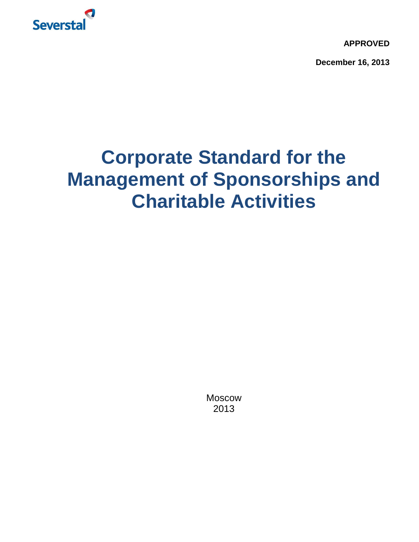

**APPROVED**

**December 16, 2013**

# **Corporate Standard for the Management of Sponsorships and Charitable Activities**

Moscow 2013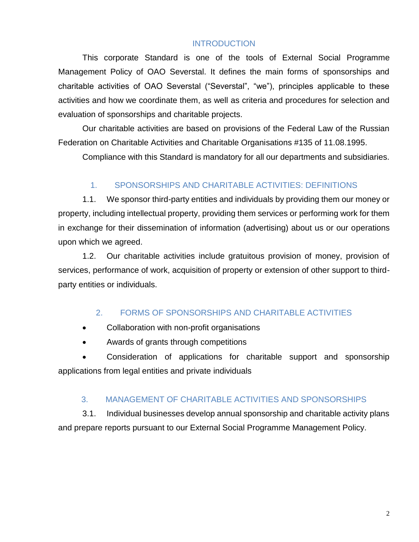#### **INTRODUCTION**

This corporate Standard is one of the tools of External Social Programme Management Policy of OAO Severstal. It defines the main forms of sponsorships and charitable activities of OAO Severstal ("Severstal", "we"), principles applicable to these activities and how we coordinate them, as well as criteria and procedures for selection and evaluation of sponsorships and charitable projects.

Our charitable activities are based on provisions of the Federal Law of the Russian Federation on Charitable Activities and Charitable Organisations #135 of 11.08.1995.

Compliance with this Standard is mandatory for all our departments and subsidiaries.

#### 1. SPONSORSHIPS AND CHARITABLE ACTIVITIES: DEFINITIONS

1.1. We sponsor third-party entities and individuals by providing them our money or property, including intellectual property, providing them services or performing work for them in exchange for their dissemination of information (advertising) about us or our operations upon which we agreed.

1.2. Our charitable activities include gratuitous provision of money, provision of services, performance of work, acquisition of property or extension of other support to thirdparty entities or individuals.

#### 2. FORMS OF SPONSORSHIPS AND CHARITABLE ACTIVITIES

- Collaboration with non-profit organisations
- Awards of grants through competitions

 Consideration of applications for charitable support and sponsorship applications from legal entities and private individuals

#### 3. MANAGEMENT OF CHARITABLE ACTIVITIES AND SPONSORSHIPS

3.1. Individual businesses develop annual sponsorship and charitable activity plans and prepare reports pursuant to our External Social Programme Management Policy.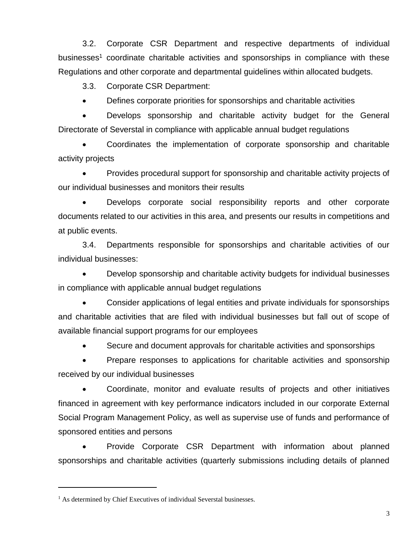3.2. Corporate CSR Department and respective departments of individual businesses<sup>1</sup> coordinate charitable activities and sponsorships in compliance with these Regulations and other corporate and departmental guidelines within allocated budgets.

3.3. Corporate CSR Department:

Defines corporate priorities for sponsorships and charitable activities

 Develops sponsorship and charitable activity budget for the General Directorate of Severstal in compliance with applicable annual budget regulations

 Coordinates the implementation of corporate sponsorship and charitable activity projects

• Provides procedural support for sponsorship and charitable activity projects of our individual businesses and monitors their results

 Develops corporate social responsibility reports and other corporate documents related to our activities in this area, and presents our results in competitions and at public events.

3.4. Departments responsible for sponsorships and charitable activities of our individual businesses:

 Develop sponsorship and charitable activity budgets for individual businesses in compliance with applicable annual budget regulations

 Consider applications of legal entities and private individuals for sponsorships and charitable activities that are filed with individual businesses but fall out of scope of available financial support programs for our employees

• Secure and document approvals for charitable activities and sponsorships

• Prepare responses to applications for charitable activities and sponsorship received by our individual businesses

 Coordinate, monitor and evaluate results of projects and other initiatives financed in agreement with key performance indicators included in our corporate External Social Program Management Policy, as well as supervise use of funds and performance of sponsored entities and persons

 Provide Corporate CSR Department with information about planned sponsorships and charitable activities (quarterly submissions including details of planned

<sup>&</sup>lt;sup>1</sup> As determined by Chief Executives of individual Severstal businesses.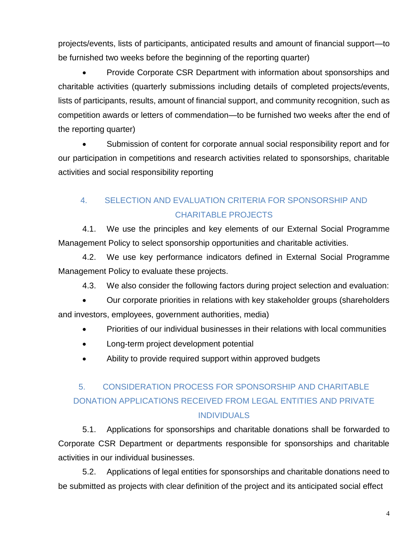projects/events, lists of participants, anticipated results and amount of financial support—to be furnished two weeks before the beginning of the reporting quarter)

 Provide Corporate CSR Department with information about sponsorships and charitable activities (quarterly submissions including details of completed projects/events, lists of participants, results, amount of financial support, and community recognition, such as competition awards or letters of commendation—to be furnished two weeks after the end of the reporting quarter)

 Submission of content for corporate annual social responsibility report and for our participation in competitions and research activities related to sponsorships, charitable activities and social responsibility reporting

## 4. SELECTION AND EVALUATION CRITERIA FOR SPONSORSHIP AND CHARITABLE PROJECTS

4.1. We use the principles and key elements of our External Social Programme Management Policy to select sponsorship opportunities and charitable activities.

4.2. We use key performance indicators defined in External Social Programme Management Policy to evaluate these projects.

4.3. We also consider the following factors during project selection and evaluation:

 Our corporate priorities in relations with key stakeholder groups (shareholders and investors, employees, government authorities, media)

- Priorities of our individual businesses in their relations with local communities
- Long-term project development potential
- Ability to provide required support within approved budgets

# 5. CONSIDERATION PROCESS FOR SPONSORSHIP AND CHARITABLE DONATION APPLICATIONS RECEIVED FROM LEGAL ENTITIES AND PRIVATE **INDIVIDUALS**

5.1. Applications for sponsorships and charitable donations shall be forwarded to Corporate CSR Department or departments responsible for sponsorships and charitable activities in our individual businesses.

5.2. Applications of legal entities for sponsorships and charitable donations need to be submitted as projects with clear definition of the project and its anticipated social effect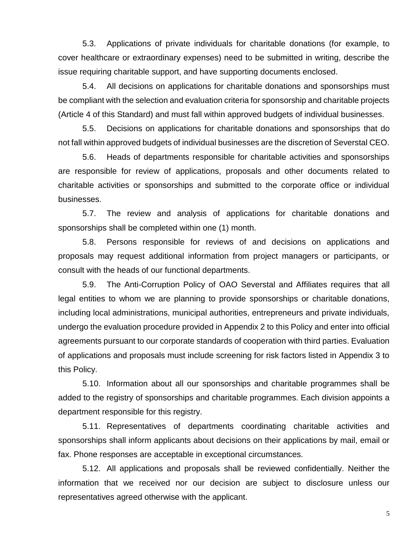5.3. Applications of private individuals for charitable donations (for example, to cover healthcare or extraordinary expenses) need to be submitted in writing, describe the issue requiring charitable support, and have supporting documents enclosed.

5.4. All decisions on applications for charitable donations and sponsorships must be compliant with the selection and evaluation criteria for sponsorship and charitable projects (Article 4 of this Standard) and must fall within approved budgets of individual businesses.

5.5. Decisions on applications for charitable donations and sponsorships that do not fall within approved budgets of individual businesses are the discretion of Severstal CEO.

5.6. Heads of departments responsible for charitable activities and sponsorships are responsible for review of applications, proposals and other documents related to charitable activities or sponsorships and submitted to the corporate office or individual businesses.

5.7. The review and analysis of applications for charitable donations and sponsorships shall be completed within one (1) month.

5.8. Persons responsible for reviews of and decisions on applications and proposals may request additional information from project managers or participants, or consult with the heads of our functional departments.

5.9. The Anti-Corruption Policy of OAO Severstal and Affiliates requires that all legal entities to whom we are planning to provide sponsorships or charitable donations, including local administrations, municipal authorities, entrepreneurs and private individuals, undergo the evaluation procedure provided in Appendix 2 to this Policy and enter into official agreements pursuant to our corporate standards of cooperation with third parties. Evaluation of applications and proposals must include screening for risk factors listed in Appendix 3 to this Policy.

5.10. Information about all our sponsorships and charitable programmes shall be added to the registry of sponsorships and charitable programmes. Each division appoints a department responsible for this registry.

5.11. Representatives of departments coordinating charitable activities and sponsorships shall inform applicants about decisions on their applications by mail, email or fax. Phone responses are acceptable in exceptional circumstances.

5.12. All applications and proposals shall be reviewed confidentially. Neither the information that we received nor our decision are subject to disclosure unless our representatives agreed otherwise with the applicant.